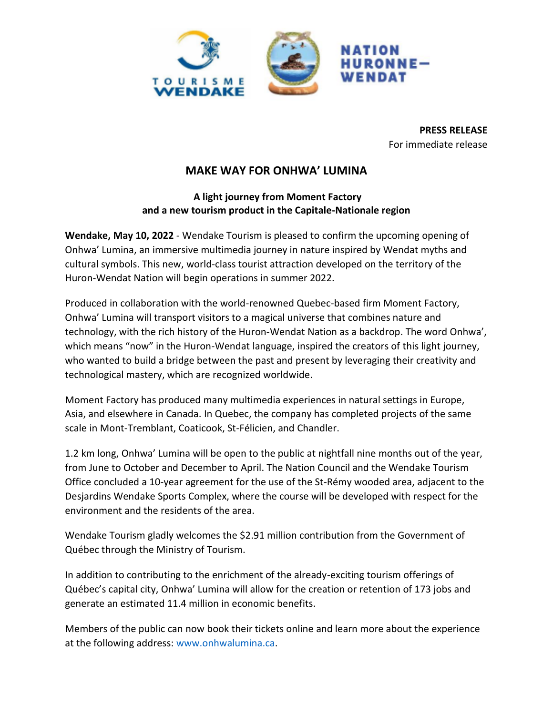

**PRESS RELEASE** For immediate release

# **MAKE WAY FOR ONHWA' LUMINA**

## **A light journey from Moment Factory and a new tourism product in the Capitale-Nationale region**

**Wendake, May 10, 2022** - Wendake Tourism is pleased to confirm the upcoming opening of Onhwa' Lumina, an immersive multimedia journey in nature inspired by Wendat myths and cultural symbols. This new, world-class tourist attraction developed on the territory of the Huron-Wendat Nation will begin operations in summer 2022.

Produced in collaboration with the world-renowned Quebec-based firm Moment Factory, Onhwa' Lumina will transport visitors to a magical universe that combines nature and technology, with the rich history of the Huron-Wendat Nation as a backdrop. The word Onhwa', which means "now" in the Huron-Wendat language, inspired the creators of this light journey, who wanted to build a bridge between the past and present by leveraging their creativity and technological mastery, which are recognized worldwide.

Moment Factory has produced many multimedia experiences in natural settings in Europe, Asia, and elsewhere in Canada. In Quebec, the company has completed projects of the same scale in Mont-Tremblant, Coaticook, St-Félicien, and Chandler.

1.2 km long, Onhwa' Lumina will be open to the public at nightfall nine months out of the year, from June to October and December to April. The Nation Council and the Wendake Tourism Office concluded a 10-year agreement for the use of the St-Rémy wooded area, adjacent to the Desjardins Wendake Sports Complex, where the course will be developed with respect for the environment and the residents of the area.

Wendake Tourism gladly welcomes the \$2.91 million contribution from the Government of Québec through the Ministry of Tourism.

In addition to contributing to the enrichment of the already-exciting tourism offerings of Québec's capital city, Onhwa' Lumina will allow for the creation or retention of 173 jobs and generate an estimated 11.4 million in economic benefits.

Members of the public can now book their tickets online and learn more about the experience at the following address: [www.onhwalumina.ca.](http://www.onhwalumina.ca/)